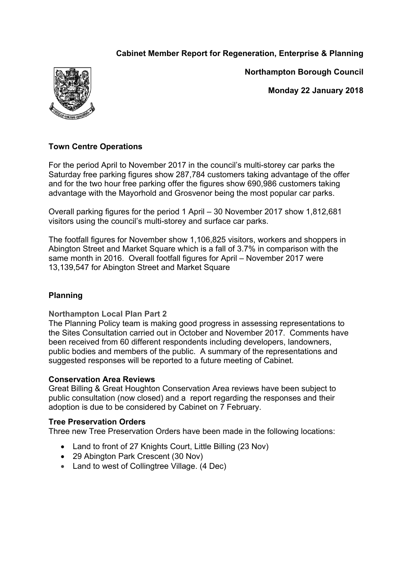# **Cabinet Member Report for Regeneration, Enterprise & Planning**



**Northampton Borough Council**

**Monday 22 January 2018**

# **Town Centre Operations**

For the period April to November 2017 in the council's multi-storey car parks the Saturday free parking figures show 287,784 customers taking advantage of the offer and for the two hour free parking offer the figures show 690,986 customers taking advantage with the Mayorhold and Grosvenor being the most popular car parks.

Overall parking figures for the period 1 April – 30 November 2017 show 1,812,681 visitors using the council's multi-storey and surface car parks.

The footfall figures for November show 1,106,825 visitors, workers and shoppers in Abington Street and Market Square which is a fall of 3.7% in comparison with the same month in 2016. Overall footfall figures for April – November 2017 were 13,139,547 for Abington Street and Market Square

## **Planning**

### **Northampton Local Plan Part 2**

The Planning Policy team is making good progress in assessing representations to the Sites Consultation carried out in October and November 2017. Comments have been received from 60 different respondents including developers, landowners, public bodies and members of the public. A summary of the representations and suggested responses will be reported to a future meeting of Cabinet.

### **Conservation Area Reviews**

Great Billing & Great Houghton Conservation Area reviews have been subject to public consultation (now closed) and a report regarding the responses and their adoption is due to be considered by Cabinet on 7 February.

### **Tree Preservation Orders**

Three new Tree Preservation Orders have been made in the following locations:

- Land to front of 27 Knights Court, Little Billing (23 Nov)
- 29 Abington Park Crescent (30 Nov)
- Land to west of Collingtree Village. (4 Dec)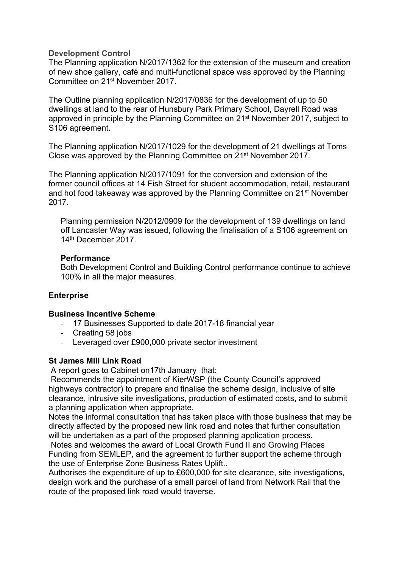#### **Development Control**

The Planning application N/2017/1362 for the extension of the museum and creation of new shoe gallery, café and multi-functional space was approved by the Planning Committee on 21st November 2017.

The Outline planning application N/2017/0836 for the development of up to 50 dwellings at land to the rear of Hunsbury Park Primary School, Dayrell Road was approved in principle by the Planning Committee on 21st November 2017, subject to S106 agreement.

The Planning application N/2017/1029 for the development of 21 dwellings at Toms Close was approved by the Planning Committee on 21st November 2017.

The Planning application N/2017/1091 for the conversion and extension of the former council offices at 14 Fish Street for student accommodation, retail, restaurant and hot food takeaway was approved by the Planning Committee on 21st November 2017.

Planning permission N/2012/0909 for the development of 139 dwellings on land off Lancaster Way was issued, following the finalisation of a S106 agreement on 14th December 2017.

#### **Performance**

Both Development Control and Building Control performance continue to achieve 100% in all the major measures.

### **Enterprise**

### **Business Incentive Scheme**

- 17 Businesses Supported to date 2017-18 financial year
- Creating 58 jobs
- Leveraged over £900,000 private sector investment

### **St James Mill Link Road**

A report goes to Cabinet on17th January that:

Recommends the appointment of KierWSP (the County Council's approved highways contractor) to prepare and finalise the scheme design, inclusive of site clearance, intrusive site investigations, production of estimated costs, and to submit a planning application when appropriate.

Notes the informal consultation that has taken place with those business that may be directly affected by the proposed new link road and notes that further consultation will be undertaken as a part of the proposed planning application process.

Notes and welcomes the award of Local Growth Fund II and Growing Places Funding from SEMLEP, and the agreement to further support the scheme through the use of Enterprise Zone Business Rates Uplift..

Authorises the expenditure of up to £600,000 for site clearance, site investigations, design work and the purchase of a small parcel of land from Network Rail that the route of the proposed link road would traverse.